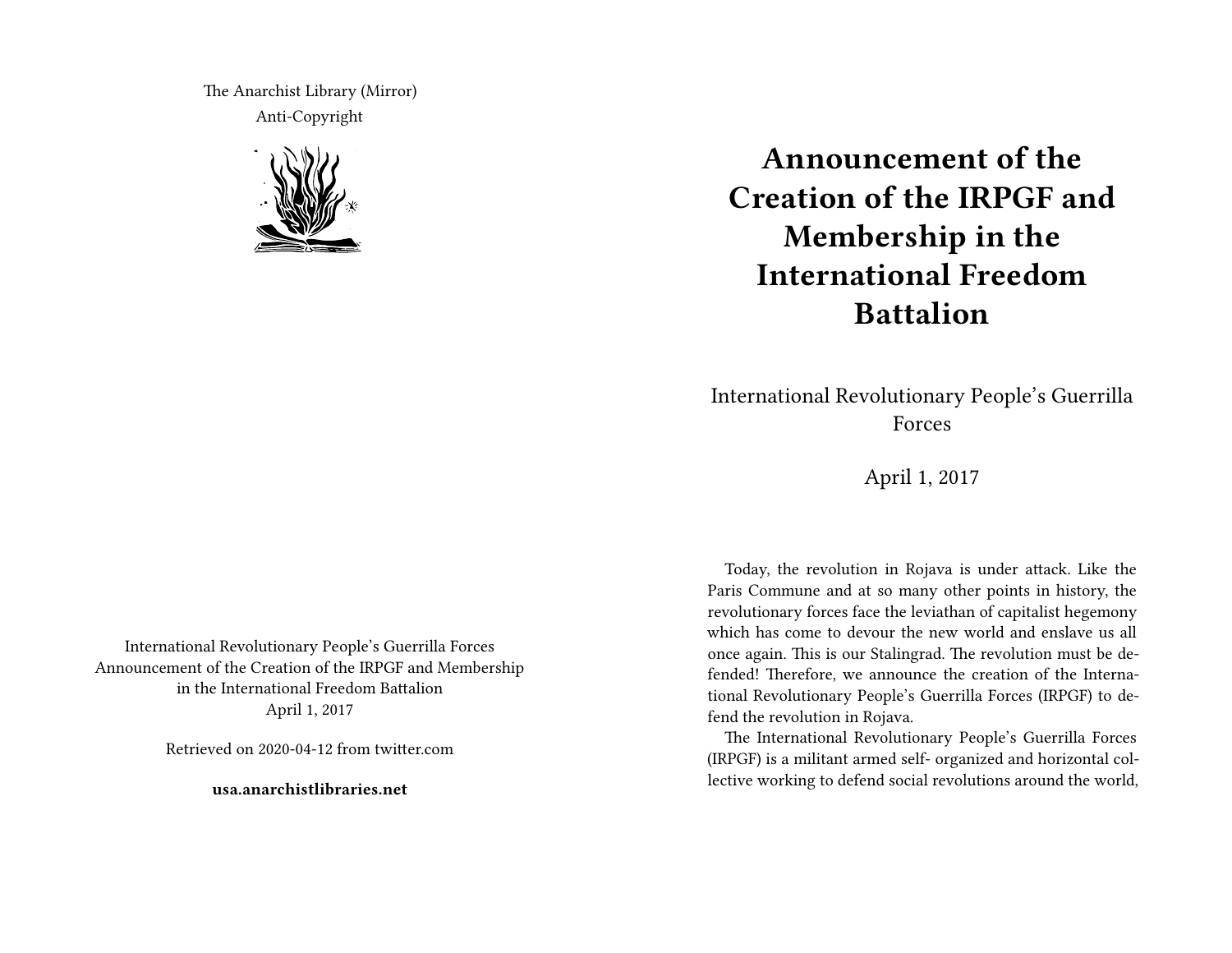The Anarchist Library (Mirror) Anti-Copyright



**Announcement of the Creation of the IRPGF and Membership in the International Freedom Battalion**

International Revolutionary People's Guerrilla Forces

April 1, 2017

Today, the revolution in Rojava is under attack. Like the Paris Commune and at so many other points in history, the revolutionary forces face the leviathan of capitalist hegemony which has come to devour the new world and enslave us all once again. This is our Stalingrad. The revolution must be defended! Therefore, we announce the creation of the International Revolutionary People's Guerrilla Forces (IRPGF) to defend the revolution in Rojava.

The International Revolutionary People's Guerrilla Forces (IRPGF) is a militant armed self- organized and horizontal collective working to defend social revolutions around the world,

International Revolutionary People's Guerrilla Forces Announcement of the Creation of the IRPGF and Membership in the International Freedom Battalion April 1, 2017

Retrieved on 2020-04-12 from twitter.com

**usa.anarchistlibraries.net**